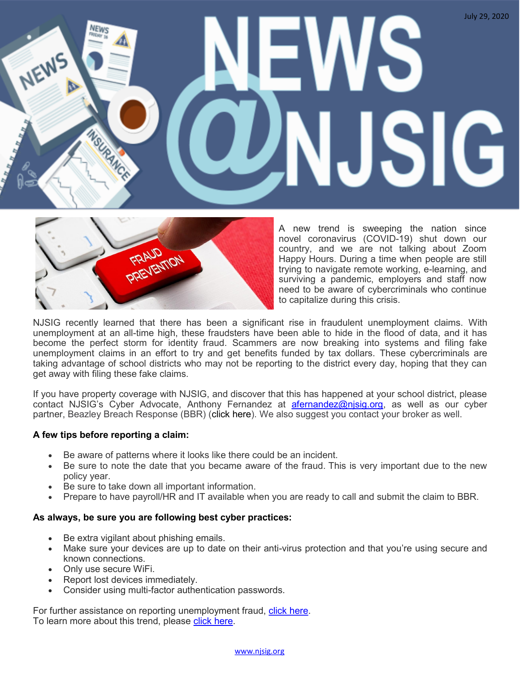# July 29, 2020 NEWS NEWS SIG



A new trend is sweeping the nation since novel coronavirus (COVID-19) shut down our country, and we are not talking about Zoom Happy Hours. During a time when people are still trying to navigate remote working, e-learning, and surviving a pandemic, employers and staff now need to be aware of cybercriminals who continue to capitalize during this crisis.

NJSIG recently learned that there has been a significant rise in fraudulent unemployment claims. With unemployment at an all-time high, these fraudsters have been able to hide in the flood of data, and it has become the perfect storm for identity fraud. Scammers are now breaking into systems and filing fake unemployment claims in an effort to try and get benefits funded by tax dollars. These cybercriminals are taking advantage of school districts who may not be reporting to the district every day, hoping that they can get away with filing these fake claims.

If you have property coverage with NJSIG, and discover that this has happened at your school district, please contact NJSIG's Cyber Advocate, Anthony Fernandez at [afernandez@njsig.org,](mailto:afernandez@njsig.org) as well as our cyber partner, Beazley Breach Response (BBR) (click here). We also suggest you contact your broker as well.

#### **A few tips before reporting a claim:**

- Be aware of patterns where it looks like there could be an incident.
- Be sure to note the date that you became aware of the fraud. This is very important due to the new policy year.
- Be sure to take down all important information.
- Prepare to have payroll/HR and IT available when you are ready to call and submit the claim to BBR.

#### **As always, be sure you are following best cyber practices:**

- Be extra vigilant about phishing emails.
- Make sure your devices are up to date on their anti-virus protection and that you're using secure and known connections.
- Only use secure WiFi.
- Report lost devices immediately.
- Consider using multi-factor authentication passwords.

For further assistance on reporting unemployment fraud, [click here.](https://myunemployment.nj.gov/help/contact-us/reportfraud/) To learn more about this trend, please [click here.](https://www.nytimes.com/2020/07/02/your-money/coronavirus-unemployment-fraud.html)